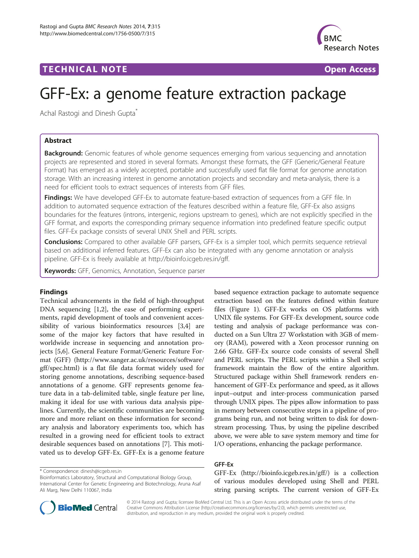## TECHNICAL NOTE **SECOND ACCESS CONSUMING A CONSUMING A CONSUMING A CONSUMING A CONSUMING A CONSUMING A CONSUMING A CONSUMING A CONSUMING A CONSUMING A CONSUMING A CONSUMING A CONSUMING A CONSUMING A CONSUMING A CONSUMING**



# GFF-Ex: a genome feature extraction package

Achal Rastogi and Dinesh Gupta<sup>\*</sup>

## Abstract

**Background:** Genomic features of whole genome sequences emerging from various sequencing and annotation projects are represented and stored in several formats. Amongst these formats, the GFF (Generic/General Feature Format) has emerged as a widely accepted, portable and successfully used flat file format for genome annotation storage. With an increasing interest in genome annotation projects and secondary and meta-analysis, there is a need for efficient tools to extract sequences of interests from GFF files.

Findings: We have developed GFF-Ex to automate feature-based extraction of sequences from a GFF file. In addition to automated sequence extraction of the features described within a feature file, GFF-Ex also assigns boundaries for the features (introns, intergenic, regions upstream to genes), which are not explicitly specified in the GFF format, and exports the corresponding primary sequence information into predefined feature specific output files. GFF-Ex package consists of several UNIX Shell and PERL scripts.

Conclusions: Compared to other available GFF parsers, GFF-Ex is a simpler tool, which permits sequence retrieval based on additional inferred features. GFF-Ex can also be integrated with any genome annotation or analysis pipeline. GFF-Ex is freely available at [http://bioinfo.icgeb.res.in/gff.](http://bioinfo.icgeb.res.in/gff)

Keywords: GFF, Genomics, Annotation, Sequence parser

## Findings

Technical advancements in the field of high-throughput DNA sequencing [[1,2\]](#page-2-0), the ease of performing experiments, rapid development of tools and convenient accessibility of various bioinformatics resources [\[3,4](#page-2-0)] are some of the major key factors that have resulted in worldwide increase in sequencing and annotation projects [\[5](#page-2-0),[6](#page-2-0)]. General Feature Format/Generic Feature Format (GFF) [\(http://www.sanger.ac.uk/resources/software/](http://www.sanger.ac.uk/resources/software/gff/spec.html) [gff/spec.html](http://www.sanger.ac.uk/resources/software/gff/spec.html)) is a flat file data format widely used for storing genome annotations, describing sequence-based annotations of a genome. GFF represents genome feature data in a tab-delimited table, single feature per line, making it ideal for use with various data analysis pipelines. Currently, the scientific communities are becoming more and more reliant on these information for secondary analysis and laboratory experiments too, which has resulted in a growing need for efficient tools to extract desirable sequences based on annotations [[7\]](#page-2-0). This motivated us to develop GFF-Ex. GFF-Ex is a genome feature

\* Correspondence: [dinesh@icgeb.res.in](mailto:dinesh@icgeb.res.in)

based sequence extraction package to automate sequence extraction based on the features defined within feature files (Figure [1](#page-1-0)). GFF-Ex works on OS platforms with UNIX file systems. For GFF-Ex development, source code testing and analysis of package performance was conducted on a Sun Ultra 27 Workstation with 3GB of memory (RAM), powered with a Xeon processor running on 2.66 GHz. GFF-Ex source code consists of several Shell and PERL scripts. The PERL scripts within a Shell script framework maintain the flow of the entire algorithm. Structured package within Shell framework renders enhancement of GFF-Ex performance and speed, as it allows input–output and inter-process communication parsed through UNIX pipes. The pipes allow information to pass in memory between consecutive steps in a pipeline of programs being run, and not being written to disk for downstream processing. Thus, by using the pipeline described above, we were able to save system memory and time for I/O operations, enhancing the package performance.

## GFF-Ex

GFF-Ex ([http://bioinfo.icgeb.res.in/gff/\)](http://bioinfo.icgeb.res.in/gff/) is a collection of various modules developed using Shell and PERL string parsing scripts. The current version of GFF-Ex



© 2014 Rastogi and Gupta; licensee BioMed Central Ltd. This is an Open Access article distributed under the terms of the Creative Commons Attribution License (<http://creativecommons.org/licenses/by/2.0>), which permits unrestricted use, distribution, and reproduction in any medium, provided the original work is properly credited.

Bioinformatics Laboratory, Structural and Computational Biology Group, International Center for Genetic Engineering and Biotechnology, Aruna Asaf Ali Marg, New Delhi 110067, India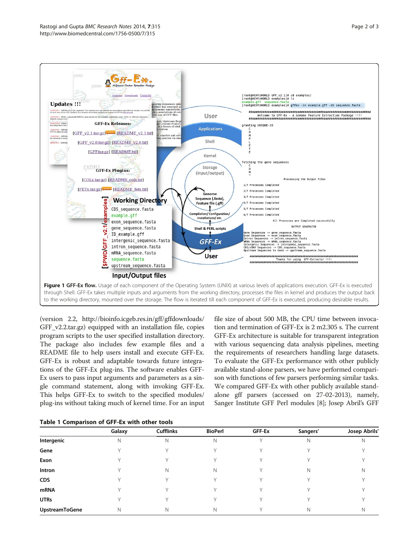<span id="page-1-0"></span>

(version 2.2, [http://bioinfo.icgeb.res.in/gff/gffdownloads/](http://bioinfo.icgeb.res.in/gff/gffdownloads/GFF_v2.2.tar.gz) GFF v2.2.tar.gz) equipped with an installation file, copies program scripts to the user specified installation directory. The package also includes few example files and a README file to help users install and execute GFF-Ex. GFF-Ex is robust and adaptable towards future integrations of the GFF-Ex plug-ins. The software enables GFF-Ex users to pass input arguments and parameters as a single command statement, along with invoking GFF-Ex. This helps GFF-Ex to switch to the specified modules/ plug-ins without taking much of kernel time. For an input file size of about 500 MB, the CPU time between invocation and termination of GFF-Ex is 2 m2.305 s. The current GFF-Ex architecture is suitable for transparent integration with various sequencing data analysis pipelines, meeting the requirements of researchers handling large datasets. To evaluate the GFF-Ex performance with other publicly available stand-alone parsers, we have performed comparison with functions of few parsers performing similar tasks. We compared GFF-Ex with other publicly available standalone gff parsers (accessed on 27-02-2013), namely, Sanger Institute GFF Perl modules [[8\]](#page-2-0); Josep Abril's GFF

|  |  | Table 1 Comparison of GFF-Ex with other tools |  |  |  |  |  |
|--|--|-----------------------------------------------|--|--|--|--|--|
|--|--|-----------------------------------------------|--|--|--|--|--|

|                | Galaxy | <b>Cufflinks</b> | <b>BioPerl</b> | GFF-Ex | Sangers' | Josep Abrils' |
|----------------|--------|------------------|----------------|--------|----------|---------------|
| Intergenic     | Ν      | Ν                | N              |        | N        | N             |
| Gene           |        |                  |                |        |          |               |
| Exon           |        |                  |                |        |          |               |
| Intron         |        | Ν                | N              |        | N        | N             |
| <b>CDS</b>     |        |                  |                |        |          |               |
| mRNA           |        |                  |                |        |          |               |
| <b>UTRs</b>    |        |                  |                |        |          |               |
| UpstreamToGene | N      | Ν                | N              |        | N        | N             |